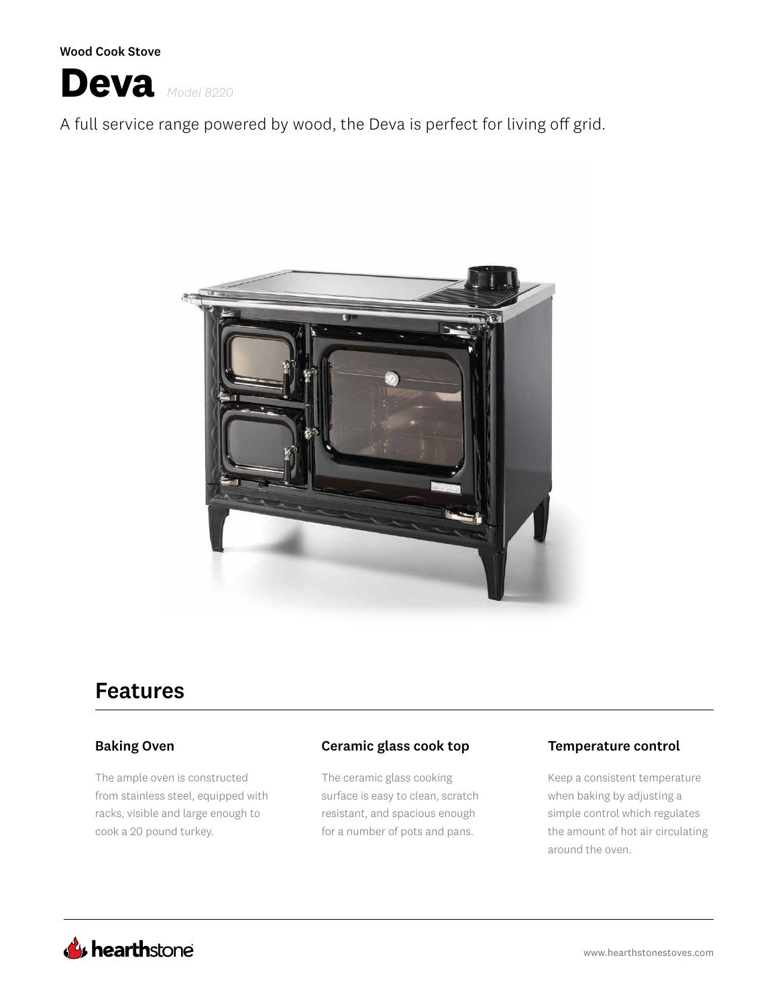Wood Cook Stove



A full service range powered by wood, the Deva is perfect for living off grid.



# Features

### Baking Oven

The ample oven is constructed from stainless steel, equipped with racks, visible and large enough to cook a 20 pound turkey.

### Ceramic glass cook top Temperature control

The ceramic glass cooking surface is easy to clean, scratch resistant, and spacious enough for a number of pots and pans.

Keep a consistent temperature when baking by adjusting a simple control which regulates the amount of hot air circulating around the oven.